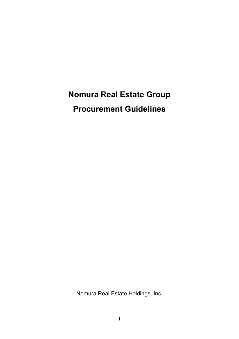# **Nomura Real Estate Group**

**Procurement Guidelines**

Nomura Real Estate Holdings, Inc.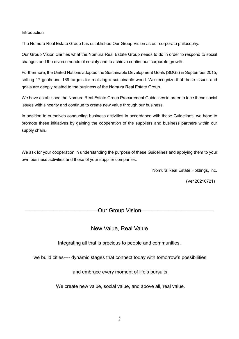## Introduction

The Nomura Real Estate Group has established Our Group Vision as our corporate philosophy.

Our Group Vision clarifies what the Nomura Real Estate Group needs to do in order to respond to social changes and the diverse needs of society and to achieve continuous corporate growth.

Furthermore, the United Nations adopted the Sustainable Development Goals (SDGs) in September 2015, setting 17 goals and 169 targets for realizing a sustainable world. We recognize that these issues and goals are deeply related to the business of the Nomura Real Estate Group.

We have established the Nomura Real Estate Group Procurement Guidelines in order to face these social issues with sincerity and continue to create new value through our business.

In addition to ourselves conducting business activities in accordance with these Guidelines, we hope to promote these initiatives by gaining the cooperation of the suppliers and business partners within our supply chain.

We ask for your cooperation in understanding the purpose of these Guidelines and applying them to your own business activities and those of your supplier companies.

Nomura Real Estate Holdings, Inc.

(Ver.20210721)

―――――――――――――Our Group Vision―――――――――――――

# New Value, Real Value

Integrating all that is precious to people and communities,

we build cities---- dynamic stages that connect today with tomorrow's possibilities,

and embrace every moment of life's pursuits.

We create new value, social value, and above all, real value.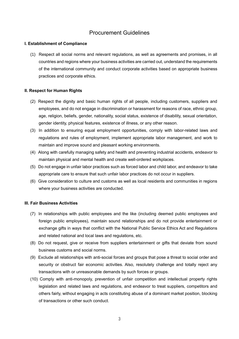# Procurement Guidelines

# **I. Establishment of Compliance**

(1) Respect all social norms and relevant regulations, as well as agreements and promises, in all countries and regions where your business activities are carried out, understand the requirements of the international community and conduct corporate activities based on appropriate business practices and corporate ethics.

## **II. Respect for Human Rights**

- (2) Respect the dignity and basic human rights of all people, including customers, suppliers and employees, and do not engage in discrimination or harassment for reasons of race, ethnic group, age, religion, beliefs, gender, nationality, social status, existence of disability, sexual orientation, gender identity, physical features, existence of illness, or any other reason.
- (3) In addition to ensuring equal employment opportunities, comply with labor-related laws and regulations and rules of employment, implement appropriate labor management, and work to maintain and improve sound and pleasant working environments.
- (4) Along with carefully managing safety and health and preventing industrial accidents, endeavor to maintain physical and mental health and create well-ordered workplaces.
- (5) Do not engage in unfair labor practices such as forced labor and child labor, and endeavor to take appropriate care to ensure that such unfair labor practices do not occur in suppliers.
- (6) Give consideration to culture and customs as well as local residents and communities in regions where your business activities are conducted.

#### **III. Fair Business Activities**

- (7) In relationships with public employees and the like (including deemed public employees and foreign public employees), maintain sound relationships and do not provide entertainment or exchange gifts in ways that conflict with the National Public Service Ethics Act and Regulations and related national and local laws and regulations, etc.
- (8) Do not request, give or receive from suppliers entertainment or gifts that deviate from sound business customs and social norms.
- (9) Exclude all relationships with anti-social forces and groups that pose a threat to social order and security or obstruct fair economic activities. Also, resolutely challenge and totally reject any transactions with or unreasonable demands by such forces or groups.
- (10) Comply with anti-monopoly, prevention of unfair competition and intellectual property rights legislation and related laws and regulations, and endeavor to treat suppliers, competitors and others fairly, without engaging in acts constituting abuse of a dominant market position, blocking of transactions or other such conduct.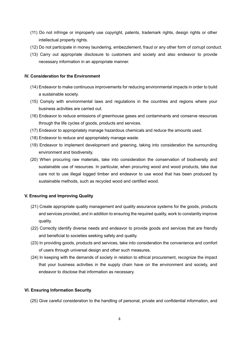- (11) Do not infringe or improperly use copyright, patents, trademark rights, design rights or other intellectual property rights.
- (12) Do not participate in money laundering, embezzlement, fraud or any other form of corrupt conduct.
- (13) Carry out appropriate disclosure to customers and society and also endeavor to provide necessary information in an appropriate manner.

# **IV. Consideration for the Environment**

- (14) Endeavor to make continuous improvements for reducing environmental impacts in order to build a sustainable society.
- (15) Comply with environmental laws and regulations in the countries and regions where your business activities are carried out.
- (16) Endeavor to reduce emissions of greenhouse gases and contaminants and conserve resources through the life cycles of goods, products and services.
- (17) Endeavor to appropriately manage hazardous chemicals and reduce the amounts used.
- (18) Endeavor to reduce and appropriately manage waste.
- (19) Endeavor to implement development and greening, taking into consideration the surrounding environment and biodiversity.
- (20) When procuring raw materials, take into consideration the conservation of biodiversity and sustainable use of resources. In particular, when procuring wood and wood products, take due care not to use illegal logged timber and endeavor to use wood that has been produced by sustainable methods, such as recycled wood and certified wood.

#### **V. Ensuring and Improving Quality**

- (21) Create appropriate quality management and quality assurance systems for the goods, products and services provided, and in addition to ensuring the required quality, work to constantly improve quality.
- (22) Correctly identify diverse needs and endeavor to provide goods and services that are friendly and beneficial to societies seeking safety and quality.
- (23) In providing goods, products and services, take into consideration the convenience and comfort of users through universal design and other such measures.
- (24) In keeping with the demands of society in relation to ethical procurement, recognize the impact that your business activities in the supply chain have on the environment and society, and endeavor to disclose that information as necessary.

#### **VI. Ensuring Information Security**

(25) Give careful consideration to the handling of personal, private and confidential information, and